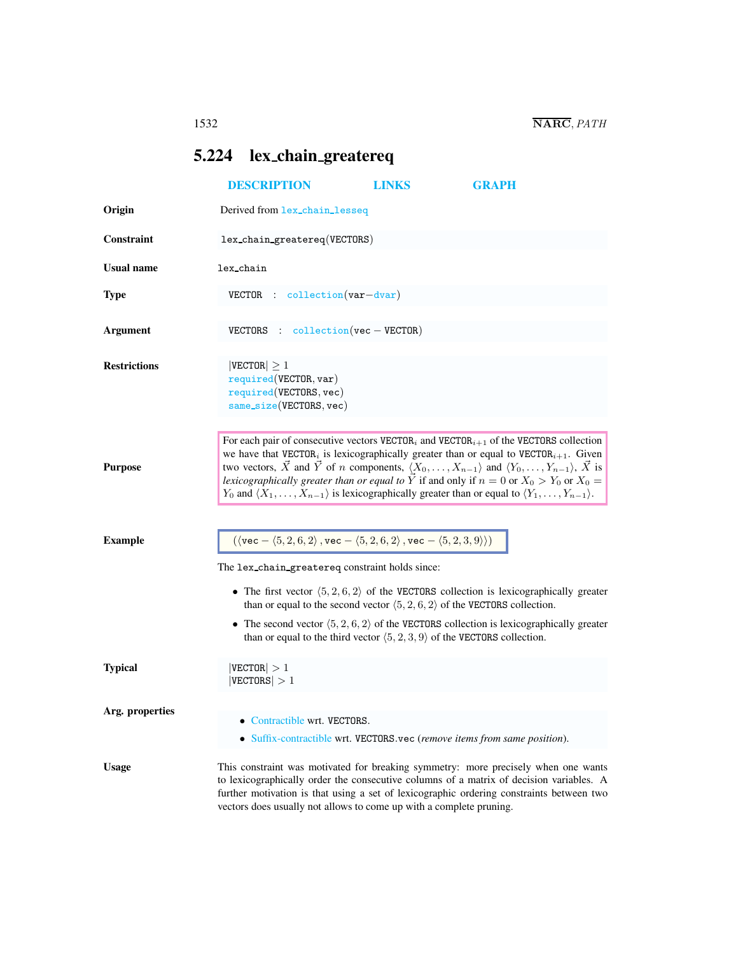## <span id="page-0-0"></span>5.224 lex chain greatereq

|                     | <b>DESCRIPTION</b>                                                                                                                                                                                                                                                                                                                                                                                                                                                                                                                                                                                                                       | <b>LINKS</b> | <b>GRAPH</b>                                                                                                                                                                                                      |
|---------------------|------------------------------------------------------------------------------------------------------------------------------------------------------------------------------------------------------------------------------------------------------------------------------------------------------------------------------------------------------------------------------------------------------------------------------------------------------------------------------------------------------------------------------------------------------------------------------------------------------------------------------------------|--------------|-------------------------------------------------------------------------------------------------------------------------------------------------------------------------------------------------------------------|
| Origin              | Derived from lex_chain_lesseq                                                                                                                                                                                                                                                                                                                                                                                                                                                                                                                                                                                                            |              |                                                                                                                                                                                                                   |
| Constraint          | lex_chain_greatereq(VECTORS)                                                                                                                                                                                                                                                                                                                                                                                                                                                                                                                                                                                                             |              |                                                                                                                                                                                                                   |
| <b>Usual name</b>   | lex_chain                                                                                                                                                                                                                                                                                                                                                                                                                                                                                                                                                                                                                                |              |                                                                                                                                                                                                                   |
| <b>Type</b>         | $VECTOR$ : collection $(var-dvar)$                                                                                                                                                                                                                                                                                                                                                                                                                                                                                                                                                                                                       |              |                                                                                                                                                                                                                   |
| <b>Argument</b>     | VECTORS : $\text{collection}(vec - VECTOR)$                                                                                                                                                                                                                                                                                                                                                                                                                                                                                                                                                                                              |              |                                                                                                                                                                                                                   |
| <b>Restrictions</b> | $ {\tt VECTOR}  \geq 1$<br>required(VECTOR, var)<br>required(VECTORS, vec)<br>$same\_size(VECTORS, vec)$                                                                                                                                                                                                                                                                                                                                                                                                                                                                                                                                 |              |                                                                                                                                                                                                                   |
| <b>Purpose</b>      | For each pair of consecutive vectors $VECTORi$ and $VECTORi+1$ of the VECTORS collection<br>we have that VECTOR <sub>i</sub> is lexicographically greater than or equal to VECTOR <sub>i+1</sub> . Given<br>two vectors, $\vec{X}$ and $\vec{Y}$ of <i>n</i> components, $\langle X_0, \ldots, X_{n-1} \rangle$ and $\langle Y_0, \ldots, Y_{n-1} \rangle$ , $\vec{X}$ is<br>lexicographically greater than or equal to $\overrightarrow{Y}$ if and only if $n = 0$ or $X_0 > Y_0$ or $X_0 =$<br>$Y_0$ and $\langle X_1, \ldots, X_{n-1} \rangle$ is lexicographically greater than or equal to $\langle Y_1, \ldots, Y_{n-1} \rangle$ . |              |                                                                                                                                                                                                                   |
| <b>Example</b>      | $(\langle \text{vec} - \langle 5, 2, 6, 2 \rangle, \text{vec} - \langle 5, 2, 6, 2 \rangle, \text{vec} - \langle 5, 2, 3, 9 \rangle))$<br>The lex_chain_greatereq constraint holds since:                                                                                                                                                                                                                                                                                                                                                                                                                                                |              |                                                                                                                                                                                                                   |
|                     | than or equal to the second vector $(5, 2, 6, 2)$ of the VECTORS collection.<br>than or equal to the third vector $\langle 5, 2, 3, 9 \rangle$ of the VECTORS collection.                                                                                                                                                                                                                                                                                                                                                                                                                                                                |              | • The first vector $\langle 5, 2, 6, 2 \rangle$ of the VECTORS collection is lexicographically greater<br>• The second vector $\langle 5, 2, 6, 2 \rangle$ of the VECTORS collection is lexicographically greater |
| <b>Typical</b>      | $ {\tt VECTOR}  > 1$<br> VECTORS  > 1                                                                                                                                                                                                                                                                                                                                                                                                                                                                                                                                                                                                    |              |                                                                                                                                                                                                                   |
| Arg. properties     | Contractible wrt. VECTORS.<br>• Suffix-contractible wrt. VECTORS.vec (remove items from same position).                                                                                                                                                                                                                                                                                                                                                                                                                                                                                                                                  |              |                                                                                                                                                                                                                   |
| <b>Usage</b>        | This constraint was motivated for breaking symmetry: more precisely when one wants<br>to lexicographically order the consecutive columns of a matrix of decision variables. A<br>further motivation is that using a set of lexicographic ordering constraints between two<br>vectors does usually not allows to come up with a complete pruning.                                                                                                                                                                                                                                                                                         |              |                                                                                                                                                                                                                   |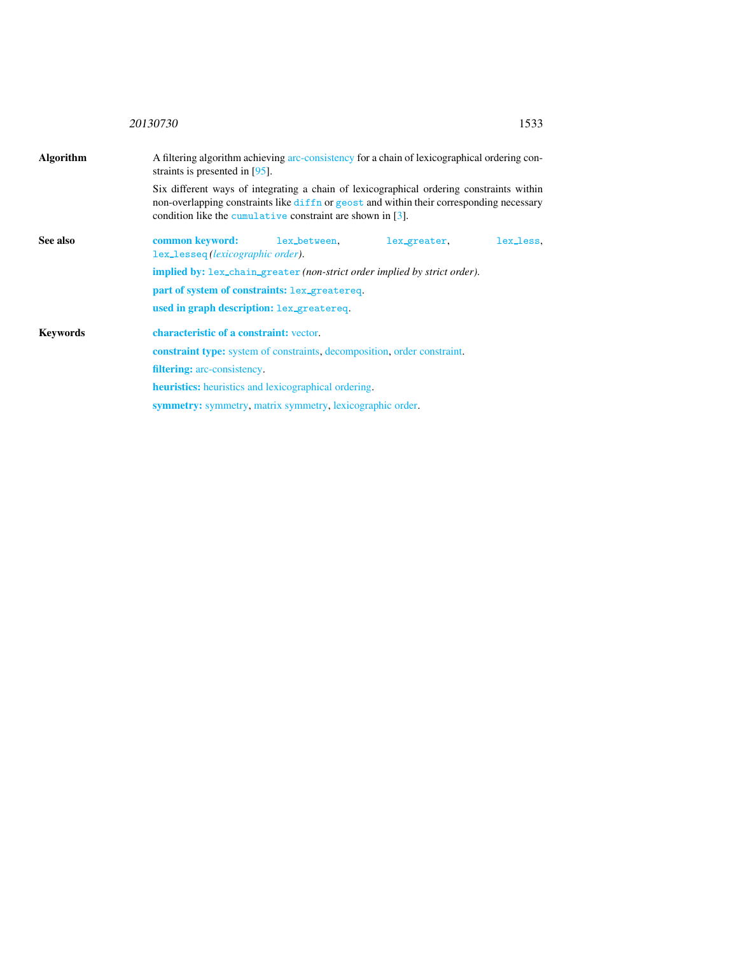<span id="page-1-0"></span>

|                  | 20130730<br>1533                                                                                                                                                                                                                                      |
|------------------|-------------------------------------------------------------------------------------------------------------------------------------------------------------------------------------------------------------------------------------------------------|
| <b>Algorithm</b> | A filtering algorithm achieving arc-consistency for a chain of lexicographical ordering con-<br>straints is presented in $[95]$ .                                                                                                                     |
|                  | Six different ways of integrating a chain of lexicographical ordering constraints within<br>non-overlapping constraints like diffn or geost and within their corresponding necessary<br>condition like the cumulative constraint are shown in $[3]$ . |
| See also         | common keyword:<br>lex_between,<br>lex_greater,<br>lex_less.<br>lex_lesseq(lexicographic order).                                                                                                                                                      |
|                  | <b>implied by:</b> lex_chain_greater (non-strict order implied by strict order).                                                                                                                                                                      |
|                  | part of system of constraints: lex_greatereq.                                                                                                                                                                                                         |
|                  | used in graph description: lex_greatereq.                                                                                                                                                                                                             |
| <b>Keywords</b>  | characteristic of a constraint: vector.                                                                                                                                                                                                               |
|                  | <b>constraint type:</b> system of constraints, decomposition, order constraint.                                                                                                                                                                       |
|                  | <b>filtering:</b> arc-consistency.                                                                                                                                                                                                                    |
|                  | <b>heuristics:</b> heuristics and lexicographical ordering.                                                                                                                                                                                           |
|                  | <b>symmetry:</b> symmetry, matrix symmetry, lexicographic order.                                                                                                                                                                                      |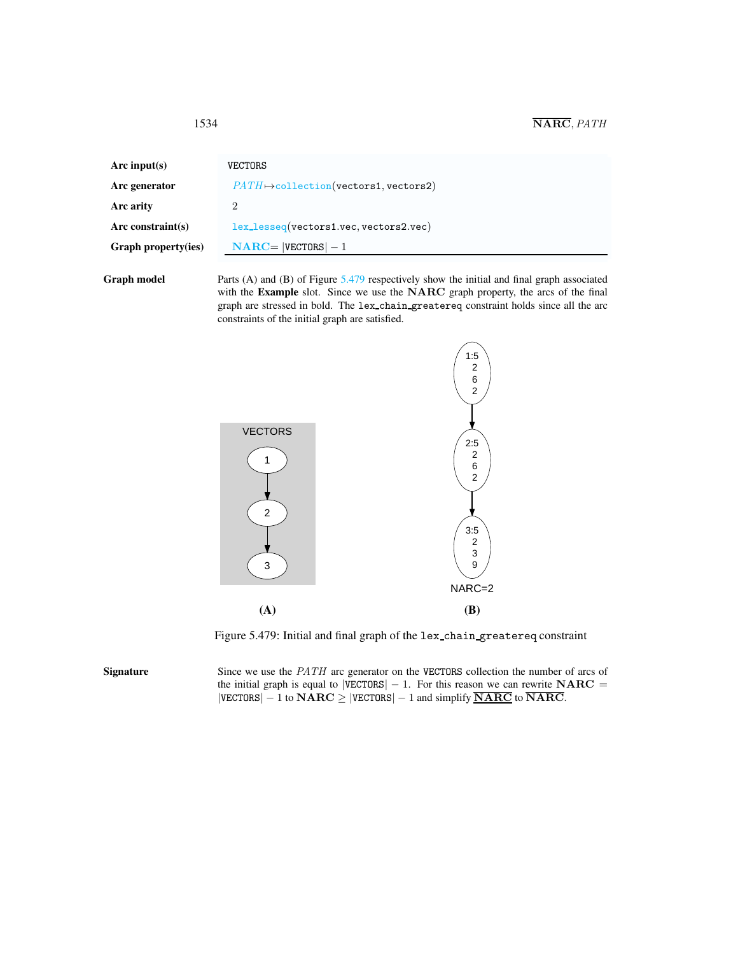| Arc input(s)               | VECTORS                                           |
|----------------------------|---------------------------------------------------|
| Arc generator              | $PATH \rightarrow collection(vectors1, vectors2)$ |
| Arc arity                  |                                                   |
| Arc constraint $(s)$       | lex_lesseq(vectors1.vec, vectors2.vec)            |
| <b>Graph property(ies)</b> | $NARC =  VECTORS  - 1$                            |
|                            |                                                   |

Graph model Parts (A) and (B) of Figure [5.479](#page-2-1) respectively show the initial and final graph associated with the Example slot. Since we use the NARC graph property, the arcs of the final graph are stressed in bold. The lex chain greatereq constraint holds since all the arc constraints of the initial graph are satisfied.



<span id="page-2-1"></span>Figure 5.479: Initial and final graph of the lex chain greatereq constraint

Signature Since we use the *PATH* arc generator on the VECTORS collection the number of arcs of the initial graph is equal to  $|VECTORS| - 1$ . For this reason we can rewrite  $NARC =$  $|VECTORS| - 1$  to  $NARC \ge |VECTORS| - 1$  and simplify  $\overline{NARC}$  to  $\overline{NARC}$ .

<span id="page-2-0"></span>